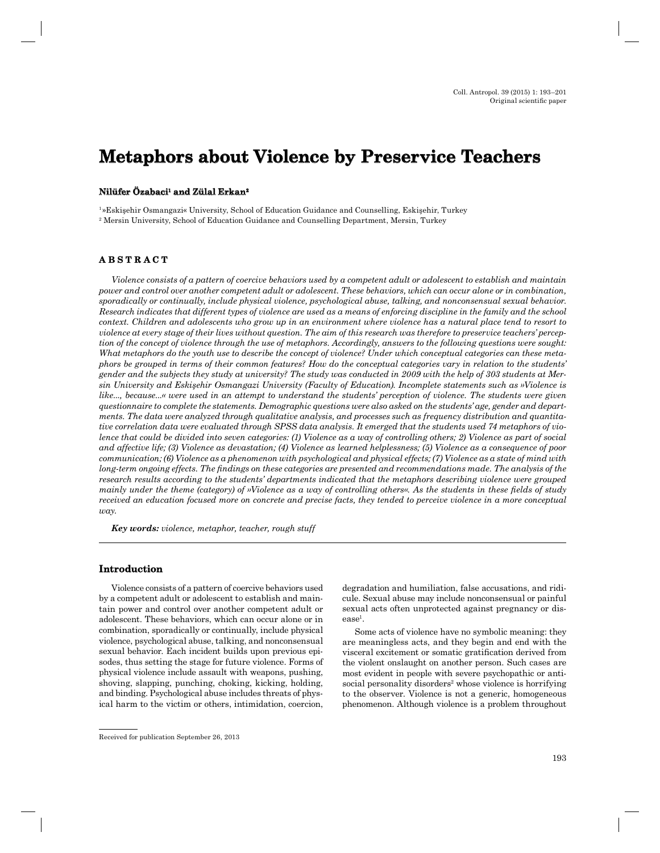# **Metaphors about Violence by Preservice Teachers**

# **Nilüfer Özabaci Özabaci1 and Zülal Erkan Erkan2**

1 »Eskişehir Osmangazi« University, School of Education Guidance and Counselling, Eskişehir, Turkey 2 Mersin University, School of Education Guidance and Counselling Department, Mersin, Turkey

# **A B S T R A C T ABSTRACT**

*Violence consists of a pattern of coercive behaviors used by a competent adult or adolescent to establish and maintain power and control over another competent adult or adolescent. These behaviors, which can occur alone or in combination, sporadically or continually, include physical violence, psychological abuse, talking, and nonconsensual sexual behavior. Research indicates that different types of violence are used as a means of enforcing discipline in the family and the school context. Children and adolescents who grow up in an environment where violence has a natural place tend to resort to violence at every stage of their lives without question. The aim of this research was therefore to preservice teachers' perception of the concept of violence through the use of metaphors. Accordingly, answers to the following questions were sought: What metaphors do the youth use to describe the concept of violence? Under which conceptual categories can these metaphors be grouped in terms of their common features? How do the conceptual categories vary in relation to the students' gender and the subjects they study at university? The study was conducted in 2009 with the help of 303 students at Mersin University and Eskişehir Osmangazi University (Faculty of Education). Incomplete statements such as »Violence is like..., because...« were used in an attempt to understand the students' perception of violence. The students were given questionnaire to complete the statements. Demographic questions were also asked on the students' age, gender and departments. The data were analyzed through qualitative analysis, and processes such as frequency distribution and quantitative correlation data were evaluated through SPSS data analysis. It emerged that the students used 74 metaphors of violence that could be divided into seven categories: (1) Violence as a way of controlling others; 2) Violence as part of social and affective life; (3) Violence as devastation; (4) Violence as learned helplessness; (5) Violence as a consequence of poor communication; (6) Violence as a phenomenon with psychological and physical effects; (7) Violence as a state of mind with long-term ongoing effects. The findings on these categories are presented and recommendations made. The analysis of the research results according to the students' departments indicated that the metaphors describing violence were grouped mainly under the theme (category) of »Violence as a way of controlling others«. As the students in these fields of study received an education focused more on concrete and precise facts, they tended to perceive violence in a more conceptual way.*

*Key words: violence, metaphor, teacher, rough stuff*

# **Introduction**

Violence consists of a pattern of coercive behaviors used by a competent adult or adolescent to establish and maintain power and control over another competent adult or adolescent. These behaviors, which can occur alone or in combination, sporadically or continually, include physical violence, psychological abuse, talking, and nonconsensual sexual behavior. Each incident builds upon previous episodes, thus setting the stage for future violence. Forms of physical violence include assault with weapons, pushing, shoving, slapping, punching, choking, kicking, holding, and binding. Psychological abuse includes threats of physical harm to the victim or others, intimidation, coercion,

degradation and humiliation, false accusations, and ridicule. Sexual abuse may include nonconsensual or painful sexual acts often unprotected against pregnancy or disease<sup>1</sup>.

Some acts of violence have no symbolic meaning: they are meaningless acts, and they begin and end with the visceral excitement or somatic gratification derived from the violent onslaught on another person. Such cases are most evident in people with severe psychopathic or antisocial personality disorders<sup>2</sup> whose violence is horrifying to the observer. Violence is not a generic, homogeneous phenomenon. Although violence is a problem throughout

Received for publication September 26, 2013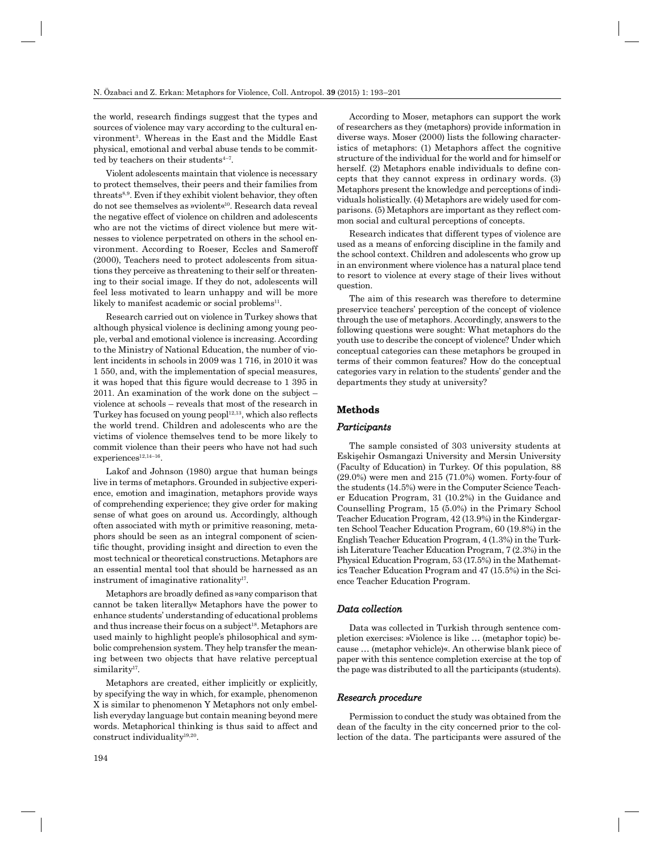the world, research findings suggest that the types and sources of violence may vary according to the cultural environment<sup>3</sup>. Whereas in the East and the Middle East physical, emotional and verbal abuse tends to be committed by teachers on their students $4-7$ .

Violent adolescents maintain that violence is necessary to protect themselves, their peers and their families from threats8,9. Even if they exhibit violent behavior, they often do not see themselves as »violent«10. Research data reveal the negative effect of violence on children and adolescents who are not the victims of direct violence but mere witnesses to violence perpetrated on others in the school environment. According to Roeser, Eccles and Sameroff (2000), Teachers need to protect adolescents from situations they perceive as threatening to their self or threatening to their social image. If they do not, adolescents will feel less motivated to learn unhappy and will be more likely to manifest academic or social problems<sup>11</sup>.

Research carried out on violence in Turkey shows that although physical violence is declining among young people, verbal and emotional violence is increasing. According to the Ministry of National Education, the number of violent incidents in schools in 2009 was 1 716, in 2010 it was 1 550, and, with the implementation of special measures, it was hoped that this figure would decrease to 1 395 in 2011. An examination of the work done on the subject – violence at schools – reveals that most of the research in Turkey has focused on young peopl $12,13$ , which also reflects the world trend. Children and adolescents who are the victims of violence themselves tend to be more likely to commit violence than their peers who have not had such experiences<sup>12,14-16</sup>.

Lakof and Johnson (1980) argue that human beings live in terms of metaphors. Grounded in subjective experience, emotion and imagination, metaphors provide ways of comprehending experience; they give order for making sense of what goes on around us. Accordingly, although often associated with myth or primitive reasoning, metaphors should be seen as an integral component of scientific thought, providing insight and direction to even the most technical or theoretical constructions. Metaphors are an essential mental tool that should be harnessed as an instrument of imaginative rationality<sup>17</sup>.

Metaphors are broadly defined as »any comparison that cannot be taken literally« Metaphors have the power to enhance students' understanding of educational problems and thus increase their focus on a subject<sup>18</sup>. Metaphors are used mainly to highlight people's philosophical and symbolic comprehension system. They help transfer the meaning between two objects that have relative perceptual similarity<sup>17</sup>.

Metaphors are created, either implicitly or explicitly, by specifying the way in which, for example, phenomenon X is similar to phenomenon Y Metaphors not only embellish everyday language but contain meaning beyond mere words. Metaphorical thinking is thus said to affect and construct individuality19,20.

According to Moser, metaphors can support the work of researchers as they (metaphors) provide information in diverse ways. Moser (2000) lists the following characteristics of metaphors: (1) Metaphors affect the cognitive structure of the individual for the world and for himself or herself. (2) Metaphors enable individuals to define concepts that they cannot express in ordinary words. (3) Metaphors present the knowledge and perceptions of individuals holistically. (4) Metaphors are widely used for comparisons. (5) Metaphors are important as they reflect common social and cultural perceptions of concepts.

Research indicates that different types of violence are used as a means of enforcing discipline in the family and the school context. Children and adolescents who grow up in an environment where violence has a natural place tend to resort to violence at every stage of their lives without question.

The aim of this research was therefore to determine preservice teachers' perception of the concept of violence through the use of metaphors. Accordingly, answers to the following questions were sought: What metaphors do the youth use to describe the concept of violence? Under which conceptual categories can these metaphors be grouped in terms of their common features? How do the conceptual categories vary in relation to the students' gender and the departments they study at university?

# **Methods**

## *Participants articipants*

The sample consisted of 303 university students at Eskişehir Osmangazi University and Mersin University (Faculty of Education) in Turkey. Of this population, 88 (29.0%) were men and 215 (71.0%) women. Forty-four of the students (14.5%) were in the Computer Science Teacher Education Program, 31 (10.2%) in the Guidance and Counselling Program, 15 (5.0%) in the Primary School Teacher Education Program, 42 (13.9%) in the Kindergarten School Teacher Education Program, 60 (19.8%) in the English Teacher Education Program, 4 (1.3%) in the Turkish Literature Teacher Education Program, 7 (2.3%) in the Physical Education Program, 53 (17.5%) in the Mathematics Teacher Education Program and 47 (15.5%) in the Science Teacher Education Program.

# *Data collection ata*

Data was collected in Turkish through sentence completion exercises: »Violence is like … (metaphor topic) because … (metaphor vehicle)«. An otherwise blank piece of paper with this sentence completion exercise at the top of the page was distributed to all the participants (students).

#### *Research procedure esearch*

Permission to conduct the study was obtained from the dean of the faculty in the city concerned prior to the collection of the data. The participants were assured of the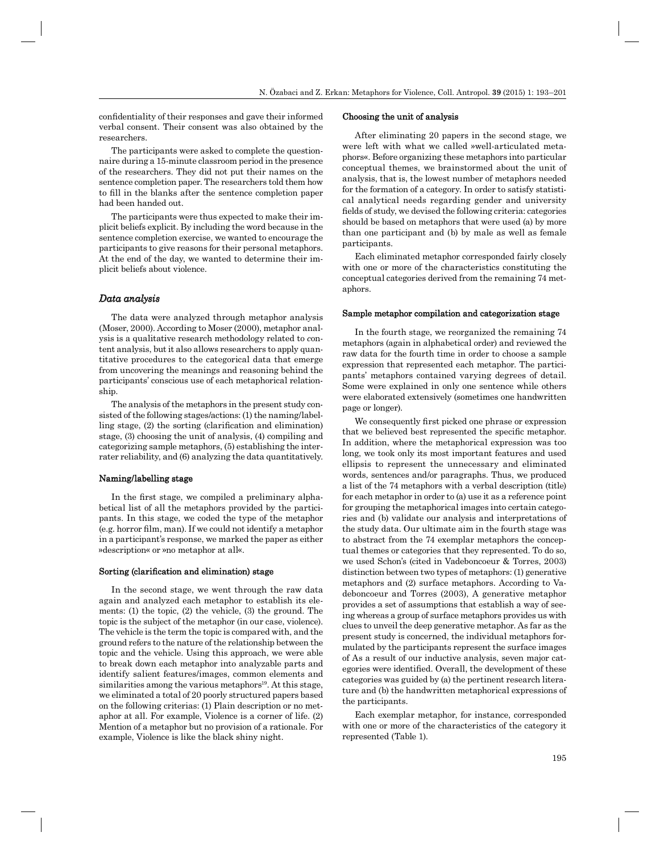confidentiality of their responses and gave their informed verbal consent. Their consent was also obtained by the researchers.

The participants were asked to complete the questionnaire during a 15-minute classroom period in the presence of the researchers. They did not put their names on the sentence completion paper. The researchers told them how to fill in the blanks after the sentence completion paper had been handed out.

The participants were thus expected to make their implicit beliefs explicit. By including the word because in the sentence completion exercise, we wanted to encourage the participants to give reasons for their personal metaphors. At the end of the day, we wanted to determine their implicit beliefs about violence.

# *Data analysis ata*

The data were analyzed through metaphor analysis (Moser, 2000). According to Moser (2000), metaphor analysis is a qualitative research methodology related to *c*ontent analysis, but it also allows researchers to apply quantitative procedures to the categorical data that emerge from uncovering the meanings and reasoning behind the participants' conscious use of each metaphorical relationship.

The analysis of the metaphors in the present study consisted of the following stages/actions: (1) the naming/labelling stage,  $(2)$  the sorting (clarification and elimination) stage, (3) choosing the unit of analysis, (4) compiling and categorizing sample metaphors, (5) establishing the interrater reliability, and (6) analyzing the data quantitatively.

## Naming/labelling stage

In the first stage, we compiled a preliminary alphabetical list of all the metaphors provided by the participants. In this stage, we coded the type of the metaphor  $(e.g.$  horror film, man). If we could not identify a metaphor in a participant's response, we marked the paper as either »description« or »no metaphor at all«.

## Sorting (clarification and elimination) stage

In the second stage, we went through the raw data again and analyzed each metaphor to establish its elements:  $(1)$  the topic,  $(2)$  the vehicle,  $(3)$  the ground. The topic is the subject of the metaphor (in our case, violence). The vehicle is the term the topic is compared with, and the ground refers to the nature of the relationship between the topic and the vehicle. Using this approach, we were able to break down each metaphor into analyzable parts and identify salient features/images, common elements and similarities among the various metaphors<sup>19</sup>. At this stage, we eliminated a total of 20 poorly structured papers based on the following criterias: (1) Plain description or no metaphor at all. For example, Violence is a corner of life. (2) Mention of a metaphor but no provision of a rationale. For example, Violence is like the black shiny night.

## Choosing the unit of analysis

After eliminating 20 papers in the second stage, we were left with what we called »well-articulated metaphors«. Before organizing these metaphors into particular conceptual themes, we brainstormed about the unit of analysis, that is, the lowest number of metaphors needed for the formation of a category. In order to satisfy statistical analytical needs regarding gender and university fields of study, we devised the following criteria: categories should be based on metaphors that were used (a) by more than one participant and (b) by male as well as female participants.

Each eliminated metaphor corresponded fairly closely with one or more of the characteristics constituting the conceptual categories derived from the remaining 74 metaphors.

#### Sample metaphor compilation and categorization stage

In the fourth stage, we reorganized the remaining 74 metaphors (again in alphabetical order) and reviewed the raw data for the fourth time in order to choose a sample expression that represented each metaphor. The participants' metaphors contained varying degrees of detail. Some were explained in only one sentence while others were elaborated extensively (sometimes one handwritten page or longer).

We consequently first picked one phrase or expression that we believed best represented the specific metaphor. In addition, where the metaphorical expression was too long, we took only its most important features and used ellipsis to represent the unnecessary and eliminated words, sentences and/or paragraphs. Thus, we produced a list of the 74 metaphors with a verbal description (title) for each metaphor in order to (a) use it as a reference point for grouping the metaphorical images into certain categories and (b) validate our analysis and interpretations of the study data. Our ultimate aim in the fourth stage was to abstract from the 74 exemplar metaphors the conceptual themes or categories that they represented. To do so, we used Schon's (cited in Vadeboncoeur & Torres, 2003) distinction between two types of metaphors: (1) generative metaphors and (2) surface metaphors. According to Vadeboncoeur and Torres (2003), A generative metaphor provides a set of assumptions that establish a way of seeing whereas a group of surface metaphors provides us with clues to unveil the deep generative metaphor. As far as the present study is concerned, the individual metaphors formulated by the participants represent the surface images of As a result of our inductive analysis, seven major categories were identified. Overall, the development of these categories was guided by (a) the pertinent research literature and (b) the handwritten metaphorical expressions of the participants.

Each exemplar metaphor, for instance, corresponded with one or more of the characteristics of the category it represented (Table 1).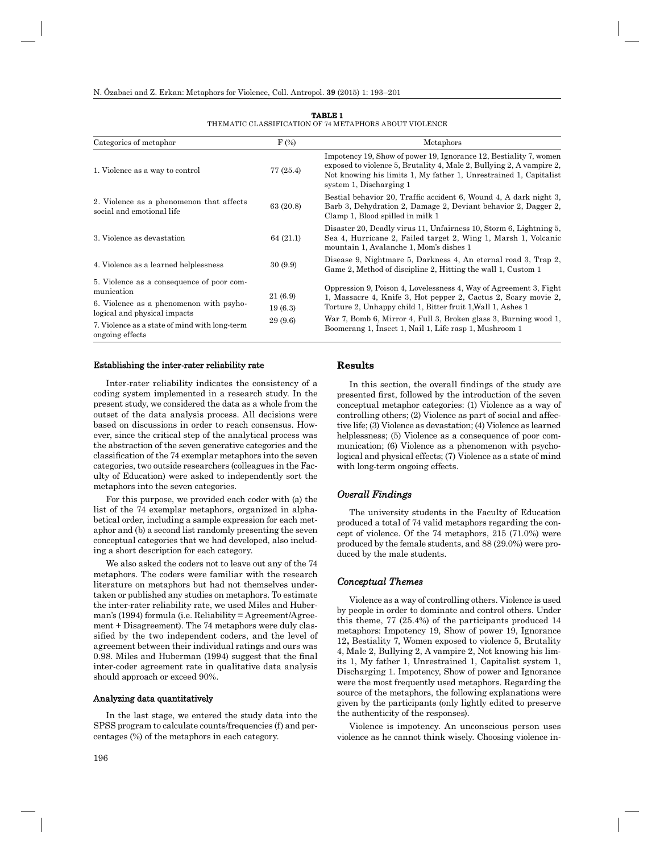| Categories of metaphor                                                  | $F(\%)$   | Metaphors                                                                                                                                                                                                                                 |  |  |  |  |
|-------------------------------------------------------------------------|-----------|-------------------------------------------------------------------------------------------------------------------------------------------------------------------------------------------------------------------------------------------|--|--|--|--|
| 1. Violence as a way to control                                         | 77 (25.4) | Impotency 19, Show of power 19, Ignorance 12, Bestiality 7, women<br>exposed to violence 5, Brutality 4, Male 2, Bullying 2, A vampire 2,<br>Not knowing his limits 1, My father 1, Unrestrained 1, Capitalist<br>system 1, Discharging 1 |  |  |  |  |
| 2. Violence as a phenomenon that affects<br>social and emotional life   | 63 (20.8) | Bestial behavior 20, Traffic accident 6, Wound 4, A dark night 3,<br>Barb 3, Dehydration 2, Damage 2, Deviant behavior 2, Dagger 2,<br>Clamp 1, Blood spilled in milk 1                                                                   |  |  |  |  |
| 3. Violence as devastation                                              | 64 (21.1) | Disaster 20, Deadly virus 11, Unfairness 10, Storm 6, Lightning 5,<br>Sea 4, Hurricane 2, Failed target 2, Wing 1, Marsh 1, Volcanic<br>mountain 1, Avalanche 1, Mom's dishes 1                                                           |  |  |  |  |
| 4. Violence as a learned helplessness                                   | 30(9.9)   | Disease 9, Nightmare 5, Darkness 4, An eternal road 3, Trap 2,<br>Game 2, Method of discipline 2, Hitting the wall 1, Custom 1                                                                                                            |  |  |  |  |
| 5. Violence as a consequence of poor com-<br>munication                 | 21 (6.9)  | Oppression 9, Poison 4, Lovelessness 4, Way of Agreement 3, Fight<br>1, Massacre 4, Knife 3, Hot pepper 2, Cactus 2, Scary movie 2,<br>Torture 2, Unhappy child 1, Bitter fruit 1, Wall 1, Ashes 1                                        |  |  |  |  |
| 6. Violence as a phenomenon with psyho-<br>logical and physical impacts | 19(6.3)   |                                                                                                                                                                                                                                           |  |  |  |  |
| 7. Violence as a state of mind with long-term<br>ongoing effects        | 29 (9.6)  | War 7, Bomb 6, Mirror 4, Full 3, Broken glass 3, Burning wood 1,<br>Boomerang 1, Insect 1, Nail 1, Life rasp 1, Mushroom 1                                                                                                                |  |  |  |  |

#### **TABLE 1** THEMATIC CLASSIFICATION OF 74 METAPHORS ABOUT VIOLENCE

#### Establishing the inter-rater reliability rate

Inter-rater reliability indicates the consistency of a coding system implemented in a research study. In the present study, we considered the data as a whole from the outset of the data analysis process. All decisions were based on discussions in order to reach consensus. However, since the critical step of the analytical process was the abstraction of the seven generative categories and the classification of the 74 exemplar metaphors into the seven categories, two outside researchers (colleagues in the Faculty of Education) were asked to independently sort the metaphors into the seven categories.

For this purpose, we provided each coder with (a) the list of the 74 exemplar metaphors, organized in alphabetical order, including a sample expression for each metaphor and (b) a second list randomly presenting the seven conceptual categories that we had developed, also including a short description for each category.

We also asked the coders not to leave out any of the 74 metaphors. The coders were familiar with the research literature on metaphors but had not themselves undertaken or published any studies on metaphors. To estimate the inter-rater reliability rate, we used Miles and Huberman's (1994) formula (i.e. Reliability =  $Agreement/Agree$ ment + Disagreement). The 74 metaphors were duly classified by the two independent coders, and the level of agreement between their individual ratings and ours was 0.98. Miles and Huberman (1994) suggest that the final inter-coder agreement rate in qualitative data analysis should approach or exceed 90%.

#### Analyzing data quantitatively

In the last stage, we entered the study data into the SPSS program to calculate counts/frequencies (f) and percentages (%) of the metaphors in each category.

# **Results**

In this section, the overall findings of the study are presented first, followed by the introduction of the seven conceptual metaphor categories: (1) Violence as a way of controlling others; (2) Violence as part of social and affective life; (3) Violence as devastation; (4) Violence as learned helplessness; (5) Violence as a consequence of poor communication; (6) Violence as a phenomenon with psychological and physical effects; (7) Violence as a state of mind with long-term ongoing effects.

## *Overall Findings*

The university students in the Faculty of Education produced a total of 74 valid metaphors regarding the concept of violence. Of the 74 metaphors, 215 (71.0%) were produced by the female students, and 88 (29.0%) were produced by the male students.

# *Conceptual Themes onceptual*

Violence as a way of controlling others. Violence is used by people in order to dominate and control others. Under this theme, 77 (25.4%) of the participants produced 14 metaphors: Impotency 19, Show of power 19, Ignorance 12**,** Bestiality 7, Women exposed to violence 5, Brutality 4, Male 2, Bullying 2, A vampire 2, Not knowing his limits 1, My father 1, Unrestrained 1, Capitalist system 1, Discharging 1. Impotency, Show of power and Ignorance were the most frequently used metaphors. Regarding the source of the metaphors, the following explanations were given by the participants (only lightly edited to preserve the authenticity of the responses).

Violence is impotency. An unconscious person uses violence as he cannot think wisely. Choosing violence in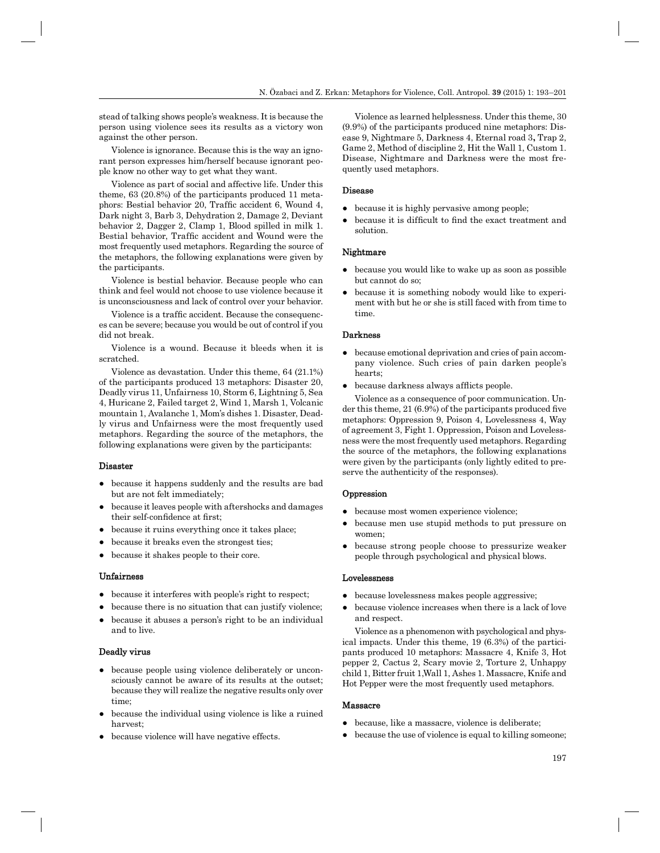stead of talking shows people's weakness. It is because the person using violence sees its results as a victory won against the other person.

Violence is ignorance. Because this is the way an ignorant person expresses him/herself because ignorant people know no other way to get what they want.

Violence as part of social and affective life. Under this theme, 63 (20.8%) of the participants produced 11 metaphors: Bestial behavior 20, Traffic accident 6, Wound 4, Dark night 3, Barb 3, Dehydration 2, Damage 2, Deviant behavior 2, Dagger 2, Clamp 1, Blood spilled in milk 1. Bestial behavior, Traffic accident and Wound were the most frequently used metaphors. Regarding the source of the metaphors, the following explanations were given by the participants.

Violence is bestial behavior. Because people who can think and feel would not choose to use violence because it is unconsciousness and lack of control over your behavior.

Violence is a traffic accident. Because the consequences can be severe; because you would be out of control if you did not break.

Violence is a wound. Because it bleeds when it is scratched.

Violence as devastation. Under this theme, 64 (21.1%) of the participants produced 13 metaphors: Disaster 20, Deadly virus 11, Unfairness 10, Storm 6, Lightning 5, Sea 4, Huricane 2, Failed target 2, Wind 1, Marsh 1, Volcanic mountain 1, Avalanche 1, Mom's dishes 1. Disaster, Deadly virus and Unfairness were the most frequently used metaphors. Regarding the source of the metaphors, the following explanations were given by the participants:

#### Disaster

- because it happens suddenly and the results are bad but are not felt immediately;
- because it leaves people with aftershocks and damages their self-confidence at first;
- because it ruins everything once it takes place;
- because it breaks even the strongest ties;
- because it shakes people to their core.

#### Unfairness

- because it interferes with people's right to respect;
- because there is no situation that can justify violence;
- because it abuses a person's right to be an individual and to live.

#### Deadly virus

- because people using violence deliberately or unconsciously cannot be aware of its results at the outset; because they will realize the negative results only over time;
- because the individual using violence is like a ruined harvest;
- because violence will have negative effects.

Violence as learned helplessness. Under this theme, 30 (9.9%) of the participants produced nine metaphors: Disease 9, Nightmare 5, Darkness 4, Eternal road 3**,** Trap 2, Game 2, Method of discipline 2, Hit the Wall 1, Custom 1. Disease, Nightmare and Darkness were the most frequently used metaphors.

## Disease

- because it is highly pervasive among people;
- because it is difficult to find the exact treatment and solution.

#### Nightmare

- because you would like to wake up as soon as possible but cannot do so;
- because it is something nobody would like to experiment with but he or she is still faced with from time to time.

#### Darkness

- because emotional deprivation and cries of pain accompany violence. Such cries of pain darken people's hearts;
- because darkness always afflicts people.

Violence as a consequence of poor communication. Under this theme,  $21(6.9\%)$  of the participants produced five metaphors: Oppression 9, Poison 4, Lovelessness 4, Way of agreement 3, Fight 1. Oppression, Poison and Lovelessness were the most frequently used metaphors. Regarding the source of the metaphors, the following explanations were given by the participants (only lightly edited to preserve the authenticity of the responses).

# Oppression

- because most women experience violence;
- because men use stupid methods to put pressure on women;
- because strong people choose to pressurize weaker people through psychological and physical blows.

#### Lovelessness

- because lovelessness makes people aggressive;
- because violence increases when there is a lack of love and respect.

Violence as a phenomenon with psychological and physical impacts. Under this theme, 19 (6.3%) of the participants produced 10 metaphors: Massacre 4, Knife 3, Hot pepper 2, Cactus 2, Scary movie 2, Torture 2, Unhappy child 1, Bitter fruit 1,Wall 1, Ashes 1. Massacre, Knife and Hot Pepper were the most frequently used metaphors.

#### Massacre

- because, like a massacre, violence is deliberate;
- because the use of violence is equal to killing someone;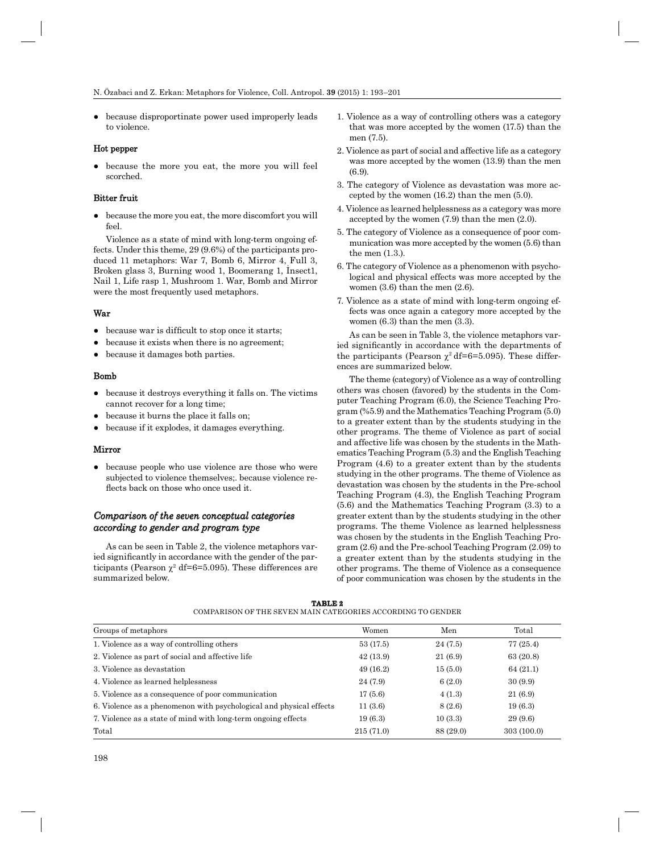● because disproportinate power used improperly leads to violence.

## Hot pepper

● because the more you eat, the more you will feel scorched.

# Bitter fruit

● because the more you eat, the more discomfort you will feel.

Violence as a state of mind with long-term ongoing effects. Under this theme, 29 (9.6%) of the participants produced 11 metaphors: War 7, Bomb 6, Mirror 4, Full 3, Broken glass 3, Burning wood 1, Boomerang 1, İnsect1, Nail 1, Life rasp 1, Mushroom 1. War, Bomb and Mirror were the most frequently used metaphors.

# War

- because war is difficult to stop once it starts;
- because it exists when there is no agreement;
- because it damages both parties.

#### Bomb

- because it destroys everything it falls on. The victims cannot recover for a long time;
- because it burns the place it falls on;
- because if it explodes, it damages everything.

#### Mirror

• because people who use violence are those who were subjected to violence themselves;. because violence reflects back on those who once used it.

# *Comparison of the seven conceptual categories according to gender and program type ccording*

As can be seen in Table 2, the violence metaphors varied significantly in accordance with the gender of the participants (Pearson  $\chi^2$  df=6=5.095). These differences are summarized below.

- 1. Violence as a way of controlling others was a category that was more accepted by the women (17.5) than the men (7.5).
- 2. Violence as part of social and affective life as a category was more accepted by the women (13.9) than the men (6.9).
- 3. The category of Violence as devastation was more accepted by the women (16.2) than the men (5.0).
- 4. Violence as learned helplessness as a category was more accepted by the women (7.9) than the men (2.0).
- 5. The category of Violence as a consequence of poor communication was more accepted by the women (5.6) than the men (1.3.).
- 6. The category of Violence as a phenomenon with psychological and physical effects was more accepted by the women (3.6) than the men (2.6).
- 7. Violence as a state of mind with long-term ongoing effects was once again a category more accepted by the women (6.3) than the men (3.3).

As can be seen in Table 3, the violence metaphors varied significantly in accordance with the departments of the participants (Pearson  $\chi^2$  df=6=5.095). These differences are summarized below.

The theme (category) of Violence as a way of controlling others was chosen (favored) by the students in the Computer Teaching Program (6.0), the Science Teaching Program (%5.9) and the Mathematics Teaching Program (5.0) to a greater extent than by the students studying in the other programs. The theme of Violence as part of social and affective life was chosen by the students in the Mathematics Teaching Program (5.3) and the English Teaching Program (4.6) to a greater extent than by the students studying in the other programs. The theme of Violence as devastation was chosen by the students in the Pre-school Teaching Program (4.3), the English Teaching Program (5.6) and the Mathematics Teaching Program (3.3) to a greater extent than by the students studying in the other programs. The theme Violence as learned helplessness was chosen by the students in the English Teaching Program (2.6) and the Pre-school Teaching Program (2.09) to a greater extent than by the students studying in the other programs. The theme of Violence as a consequence of poor communication was chosen by the students in the

| Groups of metaphors                                                 | Women     | Men       | Total       |
|---------------------------------------------------------------------|-----------|-----------|-------------|
| 1. Violence as a way of controlling others                          | 53 (17.5) | 24(7.5)   | 77(25.4)    |
| 2. Violence as part of social and affective life                    | 42(13.9)  | 21(6.9)   | 63 (20.8)   |
| 3. Violence as devastation                                          | 49(16.2)  | 15(5.0)   | 64(21.1)    |
| 4. Violence as learned helplessness                                 | 24 (7.9)  | 6(2.0)    | 30(9.9)     |
| 5. Violence as a consequence of poor communication                  | 17(5.6)   | 4(1.3)    | 21(6.9)     |
| 6. Violence as a phenomenon with psychological and physical effects | 11(3.6)   | 8(2.6)    | 19(6.3)     |
| 7. Violence as a state of mind with long-term ongoing effects       | 19(6.3)   | 10(3.3)   | 29(9.6)     |
| Total                                                               | 215(71.0) | 88 (29.0) | 303 (100.0) |

**TABLE 2** COMPARISON OF THE SEVEN MAIN CATEGORIES ACCORDING TO GENDER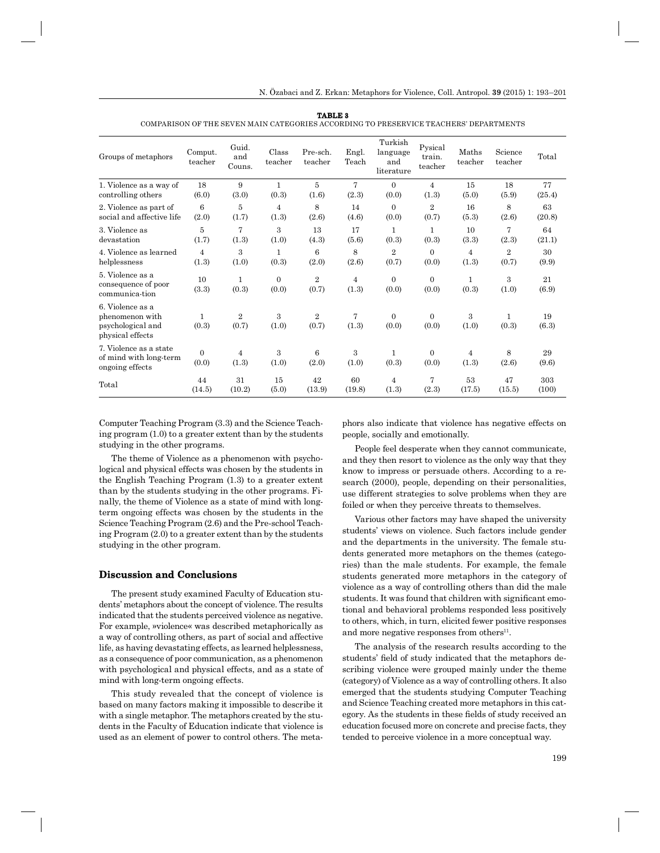| Groups of metaphors                                                          | Comput.<br>teacher      | Guid.<br>and<br>Couns.  | Class<br>teacher  | Pre-sch.<br>teacher     | Engl.<br>Teach          | Turkish<br>language<br>and<br>literature | Pysical<br>train.<br>teacher | Maths<br>teacher        | Science<br>teacher    | Total       |
|------------------------------------------------------------------------------|-------------------------|-------------------------|-------------------|-------------------------|-------------------------|------------------------------------------|------------------------------|-------------------------|-----------------------|-------------|
| 1. Violence as a way of                                                      | 18                      | 9                       | $\mathbf{1}$      | $\overline{5}$          | $\overline{7}$          | $\Omega$                                 | $\overline{4}$               | 15                      | 18                    | 77          |
| controlling others                                                           | (6.0)                   | (3.0)                   | (0.3)             | (1.6)                   | (2.3)                   | (0.0)                                    | (1.3)                        | (5.0)                   | (5.9)                 | (25.4)      |
| 2. Violence as part of                                                       | 6                       | 5                       | $\overline{4}$    | 8                       | 14                      | $\Omega$                                 | $\overline{2}$               | 16                      | 8                     | 63          |
| social and affective life                                                    | (2.0)                   | (1.7)                   | (1.3)             | (2.6)                   | (4.6)                   | (0.0)                                    | (0.7)                        | (5.3)                   | (2.6)                 | (20.8)      |
| 3. Violence as                                                               | 5                       | 7                       | 3                 | 13                      | 17                      | 1                                        | $\mathbf{1}$                 | 10                      | $\overline{7}$        | 64          |
| devastation                                                                  | (1.7)                   | (1.3)                   | (1.0)             | (4.3)                   | (5.6)                   | (0.3)                                    | (0.3)                        | (3.3)                   | (2.3)                 | (21.1)      |
| 4. Violence as learned                                                       | 4                       | 3                       | $\mathbf{1}$      | 6                       | 8                       | $\overline{2}$                           | $\Omega$                     | $\overline{4}$          | $\overline{2}$        | 30          |
| helplessness                                                                 | (1.3)                   | (1.0)                   | (0.3)             | (2.0)                   | (2.6)                   | (0.7)                                    | (0.0)                        | (1.3)                   | (0.7)                 | (9.9)       |
| 5. Violence as a<br>consequence of poor<br>communica-tion                    | 10<br>(3.3)             | 1<br>(0.3)              | $\Omega$<br>(0.0) | $\overline{2}$<br>(0.7) | $\overline{4}$<br>(1.3) | $\Omega$<br>(0.0)                        | $\Omega$<br>(0.0)            | $\mathbf{1}$<br>(0.3)   | 3<br>(1.0)            | 21<br>(6.9) |
| 6. Violence as a<br>phenomenon with<br>psychological and<br>physical effects | $\mathbf{1}$<br>(0.3)   | $\overline{2}$<br>(0.7) | 3<br>(1.0)        | 2<br>(0.7)              | $\overline{7}$<br>(1.3) | $\Omega$<br>(0.0)                        | $\Omega$<br>(0.0)            | 3<br>(1.0)              | $\mathbf{1}$<br>(0.3) | 19<br>(6.3) |
| 7. Violence as a state<br>of mind with long-term<br>ongoing effects          | $\overline{0}$<br>(0.0) | $\overline{4}$<br>(1.3) | 3<br>(1.0)        | 6<br>(2.0)              | 3<br>(1.0)              | 1<br>(0.3)                               | $\Omega$<br>(0.0)            | $\overline{4}$<br>(1.3) | 8<br>(2.6)            | 29<br>(9.6) |
| Total                                                                        | 44                      | 31                      | 15                | 42                      | 60                      | $\overline{4}$                           | 7                            | 53                      | 47                    | 303         |
|                                                                              | (14.5)                  | (10.2)                  | (5.0)             | (13.9)                  | (19.8)                  | (1.3)                                    | (2.3)                        | (17.5)                  | (15.5)                | (100)       |

**TABLE 3** COMPARISON OF THE SEVEN MAIN CATEGORIES ACCORDING TO PRESERVICE TEACHERS' DEPARTMENTS

Computer Teaching Program (3.3) and the Science Teaching program (1.0) to a greater extent than by the students studying in the other programs.

The theme of Violence as a phenomenon with psychological and physical effects was chosen by the students in the English Teaching Program (1.3) to a greater extent than by the students studying in the other programs. Finally, the theme of Violence as a state of mind with longterm ongoing effects was chosen by the students in the Science Teaching Program (2.6) and the Pre-school Teaching Program (2.0) to a greater extent than by the students studying in the other program.

#### **Discussion and Conclusions**

The present study examined Faculty of Education students' metaphors about the concept of violence. The results indicated that the students perceived violence as negative. For example, »violence« was described metaphorically as a way of controlling others, as part of social and affective life, as having devastating effects, as learned helplessness, as a consequence of poor communication, as a phenomenon with psychological and physical effects, and as a state of mind with long-term ongoing effects.

This study revealed that the concept of violence is based on many factors making it impossible to describe it with a single metaphor. The metaphors created by the students in the Faculty of Education indicate that violence is used as an element of power to control others. The meta-

phors also indicate that violence has negative effects on people, socially and emotionally.

People feel desperate when they cannot communicate, and they then resort to violence as the only way that they know to impress or persuade others. According to a research (2000), people, depending on their personalities, use different strategies to solve problems when they are foiled or when they perceive threats to themselves.

Various other factors may have shaped the university students' views on violence. Such factors include gender and the departments in the university. The female students generated more metaphors on the themes (categories) than the male students. For example, the female students generated more metaphors in the category of violence as a way of controlling others than did the male students. It was found that children with significant emotional and behavioral problems responded less positively to others, which, in turn, elicited fewer positive responses and more negative responses from others $^{11}$ .

The analysis of the research results according to the students' field of study indicated that the metaphors describing violence were grouped mainly under the theme (category) of Violence as a way of controlling others. It also emerged that the students studying Computer Teaching and Science Teaching created more metaphors in this category. As the students in these fields of study received an education focused more on concrete and precise facts, they tended to perceive violence in a more conceptual way.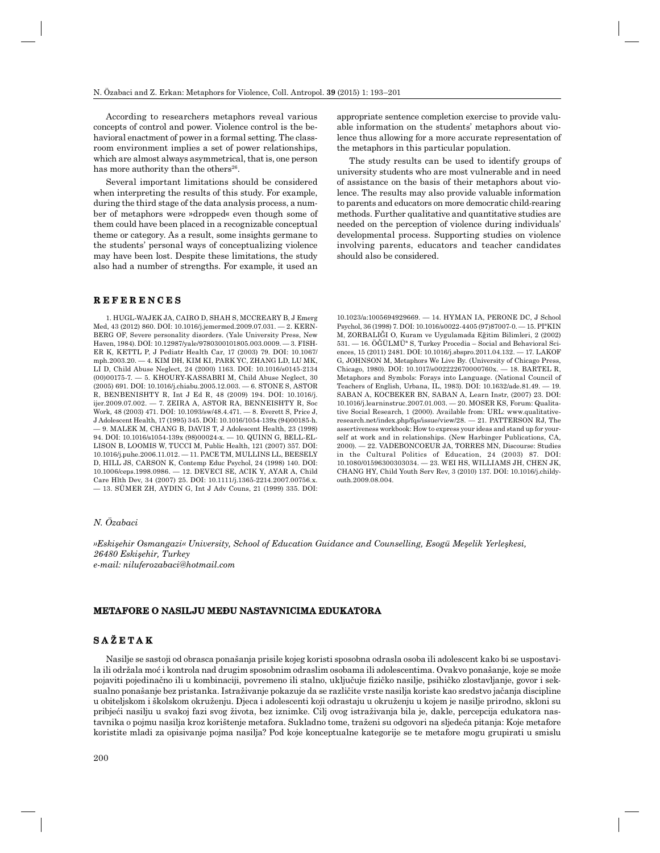According to researchers metaphors reveal various concepts of control and power. Violence control is the behavioral enactment of power in a formal setting. The classroom environment implies a set of power relationships, which are almost always asymmetrical, that is, one person has more authority than the others<sup>26</sup>.

Several important limitations should be considered when interpreting the results of this study. For example, during the third stage of the data analysis process, a number of metaphors were »dropped« even though some of them could have been placed in a recognizable conceptual theme or category. As a result, some insights germane to the students' personal ways of conceptualizing violence may have been lost. Despite these limitations, the study also had a number of strengths. For example, it used an

## **REFERENCES E F E R E N C E S**

1. HUGL-WAJEK JA, CAIRO D, SHAH S, MCCREARY B, J Emerg Med, 43 (2012) 860. DOI: 10.1016/j.jemermed.2009.07.031. — 2. KERN-BERG OF, Severe personality disorders. (Yale University Press, New Haven, 1984). DOI: 10.12987/yale/9780300101805.003.0009. — 3. FISH-ER K, KETTL P, J Pediatr Health Car, 17 (2003) 79. DOI: 10.1067/ mph.2003.20. — 4. KIM DH, KIM KI, PARK YC, ZHANG LD, LU MK, LI D, Child Abuse Neglect, 24 (2000) 1163. DOI: 10.1016/s0145-2134 (00)00175-7. — 5. KHOURY-KASSABRI M, Child Abuse Neglect, 30 (2005) 691. DOI: 10.1016/j.chiabu.2005.12.003. — 6. STONE S, ASTOR R, BENBENISHTY R, Int J Ed R, 48 (2009) 194. DOI: 10.1016/j. ijer.2009.07.002. — 7. ZEIRA A, ASTOR RA, BENNEISHTY R, Soc Work*,* 48 (2003) 471. DOI: 10.1093/sw/48.4.471. — 8. Everett S, Price J, J Adolescent Health, 17 (1995) 345. DOI: 10.1016/1054-139x (94)00185-h. — 9. MALEK M, CHANG B, DAVIS T, J Adolescent Health, 23 (1998) 94. DOI: 10.1016/s1054-139x (98)00024-x. — 10. QUINN G, BELL-EL-LISON B, LOOMIS W, TUCCI M, Public Health, 121 (2007) 357. DOI: 10.1016/j.puhe.2006.11.012. — 11. PACE TM, MULLINS LL, BEESELY D, HILL JS, CARSON K, Contemp Educ Psychol, 24 (1998) 140. DOI: 10.1006/ceps.1998.0986. — 12. DEVECI SE, ACIK Y, AYAR A, Child Care Hlth Dev, 34 (2007) 25. DOI: 10.1111/j.1365-2214.2007.00756.x. — 13. SÜMER ZH, AYDIN G, Int J Adv Couns, 21 (1999) 335. DOI: appropriate sentence completion exercise to provide valuable information on the students' metaphors about violence thus allowing for a more accurate representation of the metaphors in this particular population.

The study results can be used to identify groups of university students who are most vulnerable and in need of assistance on the basis of their metaphors about violence. The results may also provide valuable information to parents and educators on more democratic child-rearing methods. Further qualitative and quantitative studies are needed on the perception of violence during individuals' developmental process. Supporting studies on violence involving parents, educators and teacher candidates should also be considered.

10.1023/a:1005694929669. — 14. HYMAN IA, PERONE DC, J School Psychol, 36 (1998) 7. DOI: 10.1016/s0022-4405 (97)87007-0. — 15. PIªKIN M, ZORBALIĞI O, Kuram ve Uygulamada Eğitim Bilimleri, 2 (2002)  $531. - 16. \ddot{\rm O} \ddot{\rm G} \ddot{\rm U}$ LMÜ<sup>a</sup> S, Turkey Procedia – Social and Behavioral Sciences, 15 (2011) 2481. DOI: 10.1016/j.sbspro.2011.04.132. — 17. LAKOF G, JOHNSON M, Metaphors We Live By. (University of Chicago Press, Chicago, 1980). DOI: 10.1017/s002222670000760x. — 18. BARTEL R, Metaphors and Symbols: Forays into Language. (National Council of Teachers of English, Urbana, IL, 1983). DOI: 10.1632/ade.81.49. — 19. SABAN A, KOCBEKER BN, SABAN A, Learn Instr, (2007) 23. DOI: 10.1016/j.learninstruc.2007.01.003. — 20. MOSER KS, Forum: Qualitative Social Research, 1 (2000). Available from: URL: www.qualitativeresearch.net/index.php/fqs/issue/view/28. — 21. PATTERSON RJ, The assertiveness workbook: How to express your ideas and stand up for yourself at work and in relationships. (New Harbinger Publications, CA, 2000). — 22. VADEBONCOEUR JA, TORRES MN, Discourse: Studies in the Cultural Politics of Education, 24 (2003) 87. DOI: 10.1080/01596300303034. — 23. WEI HS, WILLIAMS JH, CHEN JK, CHANG HY, Child Youth Serv Rev, 3 (2010) 137. DOI: 10.1016/j.childyouth.2009.08.004.

# *N. Özabaci*

*»Eskişehir Osmangazi« University, School of Education Guidance and Counselling, Esogü Meşelik Yerleşkesi, 26480 Eskişehir, Turkey e-mail: niluferozabaci@hotm ail.com*

#### **METAFORE O NASILJU MEĐU NASTAVNICIMA EDUKATORA ETAFORE NASILJU**

# **SAŽETAK**

Nasilje se sastoji od obrasca ponašanja prisile kojeg koristi sposobna odrasla osoba ili adolescent kako bi se uspostavila ili održala moć i kontrola nad drugim sposobnim odraslim osobama ili adolescentima. Ovakvo ponašanje, koje se može pojaviti pojedinačno ili u kombinaciji, povremeno ili stalno, uključuje fizičko nasilje, psihičko zlostavljanje, govor i seksualno ponašanje bez pristanka. Istraživanje pokazuje da se različite vrste nasilja koriste kao sredstvo jačanja discipline u obiteljskom i školskom okruženju. Djeca i adolescenti koji odrastaju u okruženju u kojem je nasilje prirodno, skloni su pribjeći nasilju u svakoj fazi svog života, bez iznimke. Cilj ovog istraživanja bila je, dakle, percepcija edukatora nastavnika o pojmu nasilja kroz korištenje metafora. Sukladno tome, traženi su odgovori na sljedeća pitanja: Koje metafore koristite mladi za opisivanje pojma nasilja? Pod koje konceptualne kategorije se te metafore mogu grupirati u smislu